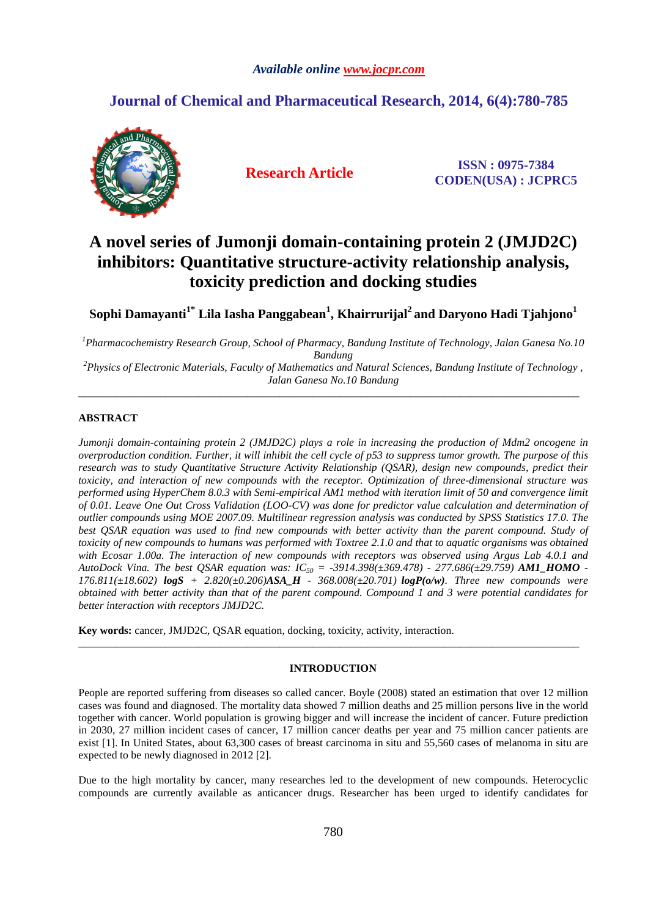### *Available online www.jocpr.com*

## **Journal of Chemical and Pharmaceutical Research, 2014, 6(4):780-785**



**Research Article ISSN : 0975-7384 CODEN(USA) : JCPRC5**

# **A novel series of Jumonji domain-containing protein 2 (JMJD2C) inhibitors: Quantitative structure-activity relationship analysis, toxicity prediction and docking studies**

**Sophi Damayanti1\* Lila Iasha Panggabean<sup>1</sup> , Khairrurijal<sup>2</sup>and Daryono Hadi Tjahjono<sup>1</sup>**

*<sup>1</sup>Pharmacochemistry Research Group, School of Pharmacy, Bandung Institute of Technology, Jalan Ganesa No.10 Bandung* 

*<sup>2</sup>Physics of Electronic Materials, Faculty of Mathematics and Natural Sciences, Bandung Institute of Technology , Jalan Ganesa No.10 Bandung*   $\overline{\phantom{a}}$  , and the set of the set of the set of the set of the set of the set of the set of the set of the set of the set of the set of the set of the set of the set of the set of the set of the set of the set of the s

## **ABSTRACT**

*Jumonji domain-containing protein 2 (JMJD2C) plays a role in increasing the production of Mdm2 oncogene in overproduction condition. Further, it will inhibit the cell cycle of p53 to suppress tumor growth. The purpose of this research was to study Quantitative Structure Activity Relationship (QSAR), design new compounds, predict their toxicity, and interaction of new compounds with the receptor. Optimization of three-dimensional structure was performed using HyperChem 8.0.3 with Semi-empirical AM1 method with iteration limit of 50 and convergence limit of 0.01. Leave One Out Cross Validation (LOO-CV) was done for predictor value calculation and determination of outlier compounds using MOE 2007.09. Multilinear regression analysis was conducted by SPSS Statistics 17.0. The best QSAR equation was used to find new compounds with better activity than the parent compound. Study of*  toxicity of new compounds to humans was performed with Toxtree 2.1.0 and that to aquatic organisms was obtained *with Ecosar 1.00a. The interaction of new compounds with receptors was observed using Argus Lab 4.0.1 and AutoDock Vina. The best QSAR equation was: IC50 = -3914.398(±369.478) - 277.686(±29.759) AM1\_HOMO - 176.811(±18.602) logS + 2.820(±0.206)ASA\_H - 368.008(±20.701) logP(o/w). Three new compounds were obtained with better activity than that of the parent compound. Compound 1 and 3 were potential candidates for better interaction with receptors JMJD2C.* 

**Key words:** cancer, JMJD2C, QSAR equation, docking, toxicity, activity, interaction.

## **INTRODUCTION**

\_\_\_\_\_\_\_\_\_\_\_\_\_\_\_\_\_\_\_\_\_\_\_\_\_\_\_\_\_\_\_\_\_\_\_\_\_\_\_\_\_\_\_\_\_\_\_\_\_\_\_\_\_\_\_\_\_\_\_\_\_\_\_\_\_\_\_\_\_\_\_\_\_\_\_\_\_\_\_\_\_\_\_\_\_\_\_\_\_\_\_\_

People are reported suffering from diseases so called cancer. Boyle (2008) stated an estimation that over 12 million cases was found and diagnosed. The mortality data showed 7 million deaths and 25 million persons live in the world together with cancer. World population is growing bigger and will increase the incident of cancer. Future prediction in 2030, 27 million incident cases of cancer, 17 million cancer deaths per year and 75 million cancer patients are exist [1]. In United States, about 63,300 cases of breast carcinoma in situ and 55,560 cases of melanoma in situ are expected to be newly diagnosed in 2012 [2].

Due to the high mortality by cancer, many researches led to the development of new compounds. Heterocyclic compounds are currently available as anticancer drugs. Researcher has been urged to identify candidates for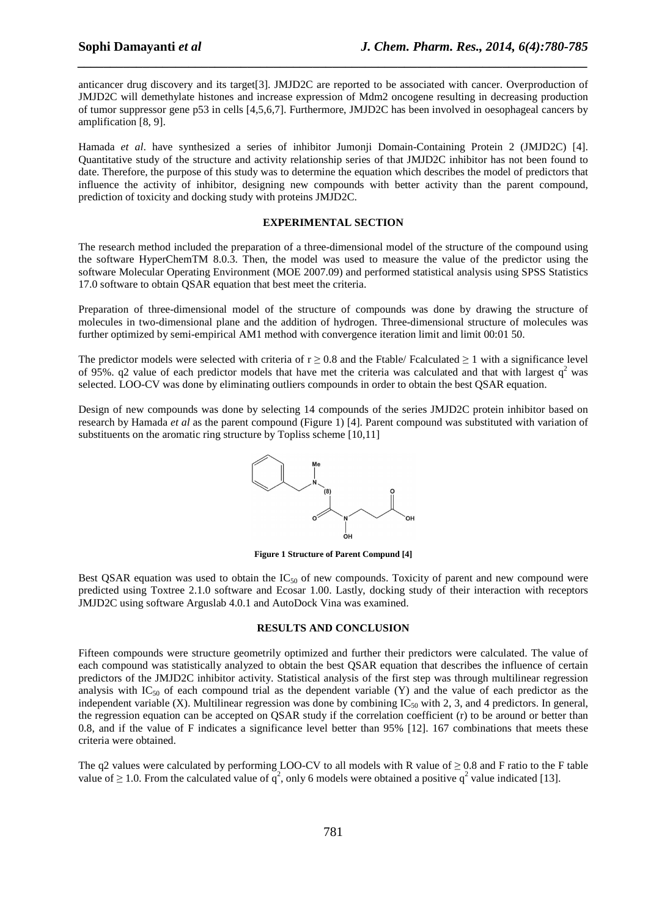anticancer drug discovery and its target[3]. JMJD2C are reported to be associated with cancer. Overproduction of JMJD2C will demethylate histones and increase expression of Mdm2 oncogene resulting in decreasing production of tumor suppressor gene p53 in cells [4,5,6,7]. Furthermore, JMJD2C has been involved in oesophageal cancers by amplification [8, 9].

*\_\_\_\_\_\_\_\_\_\_\_\_\_\_\_\_\_\_\_\_\_\_\_\_\_\_\_\_\_\_\_\_\_\_\_\_\_\_\_\_\_\_\_\_\_\_\_\_\_\_\_\_\_\_\_\_\_\_\_\_\_\_\_\_\_\_\_\_\_\_\_\_\_\_\_\_\_\_*

Hamada *et al*. have synthesized a series of inhibitor Jumonji Domain-Containing Protein 2 (JMJD2C) [4]. Quantitative study of the structure and activity relationship series of that JMJD2C inhibitor has not been found to date. Therefore, the purpose of this study was to determine the equation which describes the model of predictors that influence the activity of inhibitor, designing new compounds with better activity than the parent compound, prediction of toxicity and docking study with proteins JMJD2C.

### **EXPERIMENTAL SECTION**

The research method included the preparation of a three-dimensional model of the structure of the compound using the software HyperChemTM 8.0.3. Then, the model was used to measure the value of the predictor using the software Molecular Operating Environment (MOE 2007.09) and performed statistical analysis using SPSS Statistics 17.0 software to obtain QSAR equation that best meet the criteria.

Preparation of three-dimensional model of the structure of compounds was done by drawing the structure of molecules in two-dimensional plane and the addition of hydrogen. Three-dimensional structure of molecules was further optimized by semi-empirical AM1 method with convergence iteration limit and limit 00:01 50.

The predictor models were selected with criteria of  $r \ge 0.8$  and the Ftable/ Fcalculated  $\ge 1$  with a significance level of 95%.  $q$ 2 value of each predictor models that have met the criteria was calculated and that with largest  $q^2$  was selected. LOO-CV was done by eliminating outliers compounds in order to obtain the best QSAR equation.

Design of new compounds was done by selecting 14 compounds of the series JMJD2C protein inhibitor based on research by Hamada *et al* as the parent compound (Figure 1) [4]. Parent compound was substituted with variation of substituents on the aromatic ring structure by Topliss scheme [10,11]



**Figure 1 Structure of Parent Compund [4]** 

Best QSAR equation was used to obtain the  $IC_{50}$  of new compounds. Toxicity of parent and new compound were predicted using Toxtree 2.1.0 software and Ecosar 1.00. Lastly, docking study of their interaction with receptors JMJD2C using software Arguslab 4.0.1 and AutoDock Vina was examined.

#### **RESULTS AND CONCLUSION**

Fifteen compounds were structure geometrily optimized and further their predictors were calculated. The value of each compound was statistically analyzed to obtain the best QSAR equation that describes the influence of certain predictors of the JMJD2C inhibitor activity. Statistical analysis of the first step was through multilinear regression analysis with  $IC_{50}$  of each compound trial as the dependent variable (Y) and the value of each predictor as the independent variable  $(X)$ . Multilinear regression was done by combining  $IC_{50}$  with 2, 3, and 4 predictors. In general, the regression equation can be accepted on QSAR study if the correlation coefficient (r) to be around or better than 0.8, and if the value of F indicates a significance level better than 95% [12]. 167 combinations that meets these criteria were obtained.

The q2 values were calculated by performing LOO-CV to all models with R value of  $\geq 0.8$  and F ratio to the F table value of  $\geq 1.0$ . From the calculated value of  $q^2$ , only 6 models were obtained a positive  $q^2$  value indicated [13].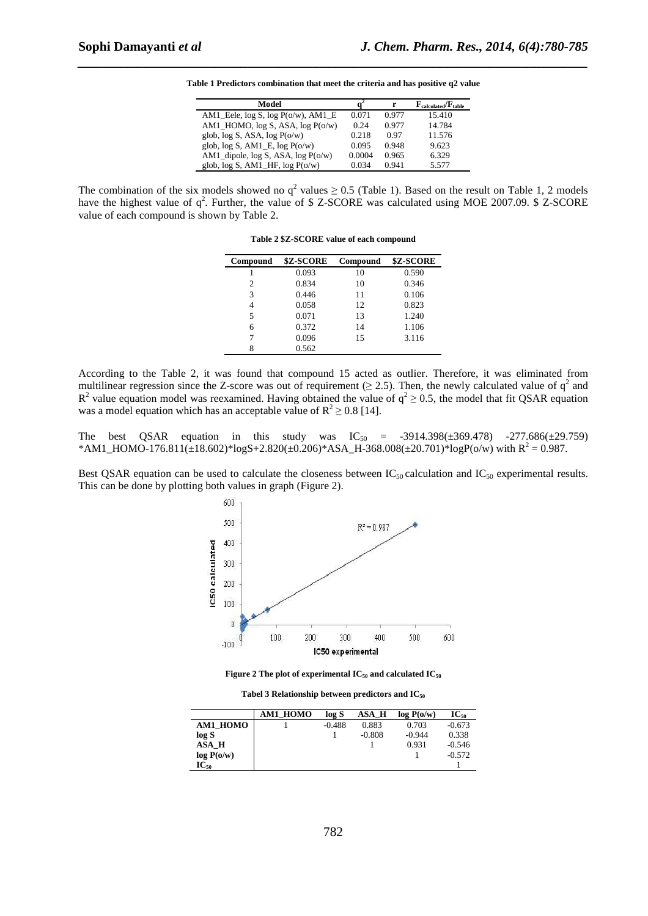| Model                                    |        | r     | $\mathbf{F}_{calculated}/\mathbf{F}_{table}$ |
|------------------------------------------|--------|-------|----------------------------------------------|
| AM1_Eele, $log S$ , $log P(o/w)$ , AM1_E | 0.071  | 0.977 | 15.410                                       |
| AM1_HOMO, $log S$ , ASA, $log P(o/w)$    | 0.24   | 0.977 | 14.784                                       |
| glob, $log S$ , ASA, $log P(o/w)$        | 0.218  | 0.97  | 11.576                                       |
| glob, $log S$ , AM1_E, $log P(o/w)$      | 0.095  | 0.948 | 9.623                                        |
| AM1_dipole, $log S$ , ASA, $log P(o/w)$  | 0.0004 | 0.965 | 6.329                                        |
| glob, $log S$ , AM1_HF, $log P(o/w)$     | 0.034  | 0.941 | 5.577                                        |

**Table 1 Predictors combination that meet the criteria and has positive q2 value** 

*\_\_\_\_\_\_\_\_\_\_\_\_\_\_\_\_\_\_\_\_\_\_\_\_\_\_\_\_\_\_\_\_\_\_\_\_\_\_\_\_\_\_\_\_\_\_\_\_\_\_\_\_\_\_\_\_\_\_\_\_\_\_\_\_\_\_\_\_\_\_\_\_\_\_\_\_\_\_*

The combination of the six models showed no  $q^2$  values  $\geq 0.5$  (Table 1). Based on the result on Table 1, 2 models have the highest value of  $q^2$ . Further, the value of \$ Z-SCORE was calculated using MOE 2007.09. \$ Z-SCORE value of each compound is shown by Table 2.

**Table 2 \$Z-SCORE value of each compound** 

| <b>Compound</b> | \$Z-SCORE | Compound | \$Z-SCORE |
|-----------------|-----------|----------|-----------|
|                 | 0.093     | 10       | 0.590     |
| 2               | 0.834     | 10       | 0.346     |
| 3               | 0.446     | 11       | 0.106     |
| 4               | 0.058     | 12       | 0.823     |
| 5               | 0.071     | 13       | 1.240     |
| 6               | 0.372     | 14       | 1.106     |
|                 | 0.096     | 15       | 3.116     |
|                 | 0.562     |          |           |

According to the Table 2, it was found that compound 15 acted as outlier. Therefore, it was eliminated from multilinear regression since the Z-score was out of requirement ( $\geq$  2.5). Then, the newly calculated value of  $q^2$  and  $R^2$  value equation model was reexamined. Having obtained the value of  $q^2 \ge 0.5$ , the model that fit QSAR equation was a model equation which has an acceptable value of  $R^2 \ge 0.8$  [14].

The best QSAR equation in this study was  $IC_{50} = -3914.398(\pm 369.478) -277.686(\pm 29.759)$ \*AM1\_HOMO-176.811( $\pm$ 18.602)\*logS+2.820( $\pm$ 0.206)\*ASA\_H-368.008( $\pm$ 20.701)\*logP(o/w) with R<sup>2</sup> = 0.987.

Best QSAR equation can be used to calculate the closeness between  $IC_{50}$  calculation and  $IC_{50}$  experimental results. This can be done by plotting both values in graph (Figure 2).





**Tabel 3 Relationship between predictors and IC<sup>50</sup>**

|            | AM1 HOMO | log S    | ASA H    | log P(o/w) | $IC_{50}$ |
|------------|----------|----------|----------|------------|-----------|
| AM1 HOMO   |          | $-0.488$ | 0.883    | 0.703      | $-0.673$  |
| log S      |          |          | $-0.808$ | $-0.944$   | 0.338     |
| ASA H      |          |          |          | 0.931      | $-0.546$  |
| log P(o/w) |          |          |          |            | $-0.572$  |
| $IC_{50}$  |          |          |          |            |           |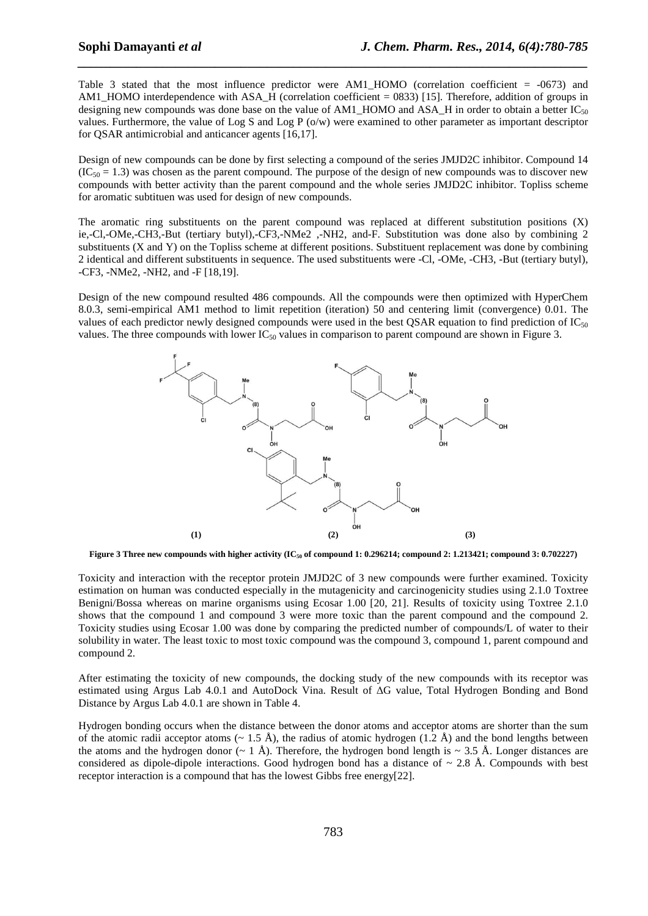Table 3 stated that the most influence predictor were AM1\_HOMO (correlation coefficient = -0673) and AM1\_HOMO interdependence with ASA\_H (correlation coefficient = 0833) [15]. Therefore, addition of groups in designing new compounds was done base on the value of AM1\_HOMO and ASA\_H in order to obtain a better  $IC_{50}$ values. Furthermore, the value of Log S and Log P (o/w) were examined to other parameter as important descriptor for QSAR antimicrobial and anticancer agents [16,17].

*\_\_\_\_\_\_\_\_\_\_\_\_\_\_\_\_\_\_\_\_\_\_\_\_\_\_\_\_\_\_\_\_\_\_\_\_\_\_\_\_\_\_\_\_\_\_\_\_\_\_\_\_\_\_\_\_\_\_\_\_\_\_\_\_\_\_\_\_\_\_\_\_\_\_\_\_\_\_*

Design of new compounds can be done by first selecting a compound of the series JMJD2C inhibitor. Compound 14  $(IC_{50} = 1.3)$  was chosen as the parent compound. The purpose of the design of new compounds was to discover new compounds with better activity than the parent compound and the whole series JMJD2C inhibitor. Topliss scheme for aromatic subtituen was used for design of new compounds.

The aromatic ring substituents on the parent compound was replaced at different substitution positions (X) ie,-Cl,-OMe,-CH3,-But (tertiary butyl),-CF3,-NMe2 ,-NH2, and-F. Substitution was done also by combining 2 substituents (X and Y) on the Topliss scheme at different positions. Substituent replacement was done by combining 2 identical and different substituents in sequence. The used substituents were -Cl, -OMe, -CH3, -But (tertiary butyl), -CF3, -NMe2, -NH2, and -F [18,19].

Design of the new compound resulted 486 compounds. All the compounds were then optimized with HyperChem 8.0.3, semi-empirical AM1 method to limit repetition (iteration) 50 and centering limit (convergence) 0.01. The values of each predictor newly designed compounds were used in the best QSAR equation to find prediction of  $IC_{50}$ values. The three compounds with lower  $IC_{50}$  values in comparison to parent compound are shown in Figure 3.



Figure 3 Three new compounds with higher activity (IC<sub>50</sub> of compound 1: 0.296214; compound 2: 1.213421; compound 3: 0.702227)

Toxicity and interaction with the receptor protein JMJD2C of 3 new compounds were further examined. Toxicity estimation on human was conducted especially in the mutagenicity and carcinogenicity studies using 2.1.0 Toxtree Benigni/Bossa whereas on marine organisms using Ecosar 1.00 [20, 21]. Results of toxicity using Toxtree 2.1.0 shows that the compound 1 and compound 3 were more toxic than the parent compound and the compound 2. Toxicity studies using Ecosar 1.00 was done by comparing the predicted number of compounds/L of water to their solubility in water. The least toxic to most toxic compound was the compound 3, compound 1, parent compound and compound 2.

After estimating the toxicity of new compounds, the docking study of the new compounds with its receptor was estimated using Argus Lab 4.0.1 and AutoDock Vina. Result of ∆G value, Total Hydrogen Bonding and Bond Distance by Argus Lab 4.0.1 are shown in Table 4.

Hydrogen bonding occurs when the distance between the donor atoms and acceptor atoms are shorter than the sum of the atomic radii acceptor atoms ( $\sim 1.5 \text{ Å}$ ), the radius of atomic hydrogen (1.2 Å) and the bond lengths between the atoms and the hydrogen donor ( $\sim 1$  Å). Therefore, the hydrogen bond length is  $\sim 3.5$  Å. Longer distances are considered as dipole-dipole interactions. Good hydrogen bond has a distance of  $\sim 2.8$  Å. Compounds with best receptor interaction is a compound that has the lowest Gibbs free energy[22].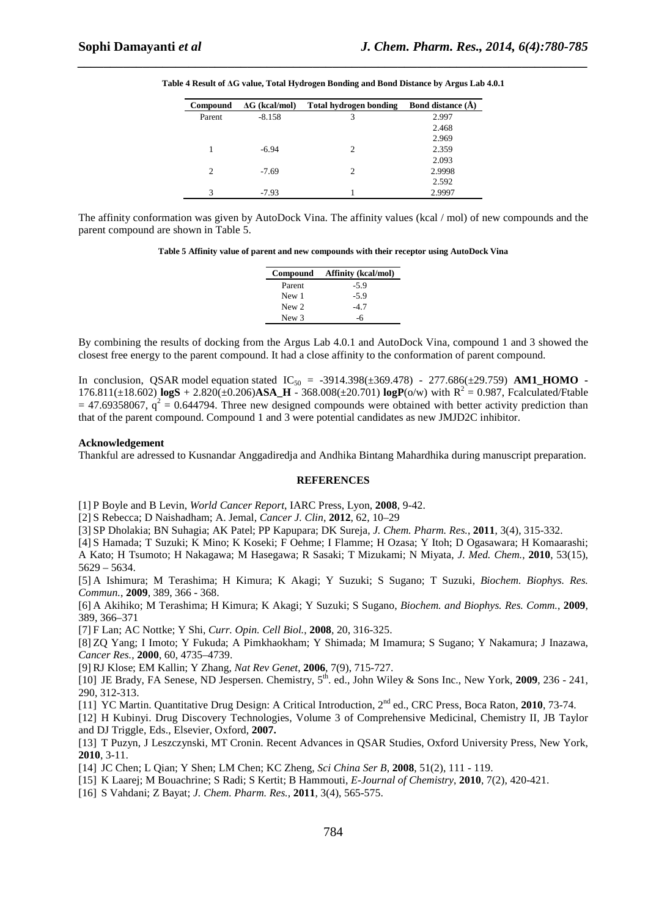| Compound       | $\Delta G$ (kcal/mol) | <b>Total hydrogen bonding</b> | <b>Bond distance (A)</b> |
|----------------|-----------------------|-------------------------------|--------------------------|
| Parent         | $-8.158$              | 3                             | 2.997                    |
|                |                       |                               | 2.468                    |
|                |                       |                               | 2.969                    |
|                | $-6.94$               | 2                             | 2.359                    |
|                |                       |                               | 2.093                    |
| $\mathfrak{D}$ | $-7.69$               | $\mathcal{D}_{\mathcal{A}}$   | 2.9998                   |
|                |                       |                               | 2.592                    |
| 3              | $-7.93$               |                               | 2.9997                   |

**Table 4 Result of ∆G value, Total Hydrogen Bonding and Bond Distance by Argus Lab 4.0.1** 

*\_\_\_\_\_\_\_\_\_\_\_\_\_\_\_\_\_\_\_\_\_\_\_\_\_\_\_\_\_\_\_\_\_\_\_\_\_\_\_\_\_\_\_\_\_\_\_\_\_\_\_\_\_\_\_\_\_\_\_\_\_\_\_\_\_\_\_\_\_\_\_\_\_\_\_\_\_\_*

The affinity conformation was given by AutoDock Vina. The affinity values (kcal / mol) of new compounds and the parent compound are shown in Table 5.

**Table 5 Affinity value of parent and new compounds with their receptor using AutoDock Vina** 

| <b>Affinity (kcal/mol)</b><br>Compound |  |
|----------------------------------------|--|
| $-5.9$                                 |  |
| $-5.9$                                 |  |
| -4.7                                   |  |
| -6                                     |  |
|                                        |  |

By combining the results of docking from the Argus Lab 4.0.1 and AutoDock Vina, compound 1 and 3 showed the closest free energy to the parent compound. It had a close affinity to the conformation of parent compound.

In conclusion, QSAR model equation stated  $IC_{50} = -3914.398(\pm 369.478) - 277.686(\pm 29.759)$  **AM1 HOMO** -176.811( $\pm$ 18.602) **logS** + 2.820( $\pm$ 0.206)**ASA\_H** - 368.008( $\pm$ 20.701) **logP**( $\alpha$ /w) with R<sup>2</sup> = 0.987, Fcalculated/Ftable  $=$  47.69358067,  $q^2 = 0.644794$ . Three new designed compounds were obtained with better activity prediction than that of the parent compound. Compound 1 and 3 were potential candidates as new JMJD2C inhibitor.

#### **Acknowledgement**

Thankful are adressed to Kusnandar Anggadiredja and Andhika Bintang Mahardhika during manuscript preparation.

#### **REFERENCES**

[1] P Boyle and B Levin, *World Cancer Report*, IARC Press, Lyon, **2008**, 9-42.

[2] S Rebecca; D Naishadham; A. Jemal, *Cancer J. Clin*, **2012**, 62, 10–29

[3] SP Dholakia; BN Suhagia; AK Patel; PP Kapupara; DK Sureja, *J. Chem. Pharm. Res.*, **2011**, 3(4), 315-332.

[4] S Hamada; T Suzuki; K Mino; K Koseki; F Oehme; I Flamme; H Ozasa; Y Itoh; D Ogasawara; H Komaarashi; A Kato; H Tsumoto; H Nakagawa; M Hasegawa; R Sasaki; T Mizukami; N Miyata, *J. Med. Chem.*, **2010**, 53(15), 5629 – 5634.

[5] A Ishimura; M Terashima; H Kimura; K Akagi; Y Suzuki; S Sugano; T Suzuki, *Biochem. Biophys. Res. Commun.*, **2009**, 389, 366 - 368.

[6] A Akihiko; M Terashima; H Kimura; K Akagi; Y Suzuki; S Sugano, *Biochem. and Biophys. Res. Comm.*, **2009**, 389, 366–371

[7] F Lan; AC Nottke; Y Shi, *Curr. Opin. Cell Biol.*, **2008**, 20, 316-325.

[8] ZQ Yang; I Imoto; Y Fukuda; A Pimkhaokham; Y Shimada; M Imamura; S Sugano; Y Nakamura; J Inazawa, *Cancer Res.,* **2000**, 60, 4735–4739.

[9] RJ Klose; EM Kallin; Y Zhang, *Nat Rev Genet*, **2006**, 7(9), 715-727.

[10] JE Brady, FA Senese, ND Jespersen. Chemistry, 5th. ed., John Wiley & Sons Inc., New York, **2009**, 236 - 241, 290, 312-313.

[11] YC Martin. Quantitative Drug Design: A Critical Introduction, 2nd ed., CRC Press, Boca Raton, **2010**, 73-74.

[12] H Kubinyi. Drug Discovery Technologies, Volume 3 of Comprehensive Medicinal, Chemistry II, JB Taylor and DJ Triggle, Eds., Elsevier, Oxford, **2007.**

[13] T Puzyn, J Leszczynski, MT Cronin. Recent Advances in QSAR Studies, Oxford University Press, New York, **2010**, 3-11.

[14] JC Chen; L Qian; Y Shen; LM Chen; KC Zheng, *Sci China Ser B*, **2008**, 51(2), 111 - 119.

[15] K Laarej; M Bouachrine; S Radi; S Kertit; B Hammouti, *E-Journal of Chemistry*, **2010**, 7(2), 420-421.

[16] S Vahdani; Z Bayat; *J. Chem. Pharm. Res.*, **2011**, 3(4), 565-575.